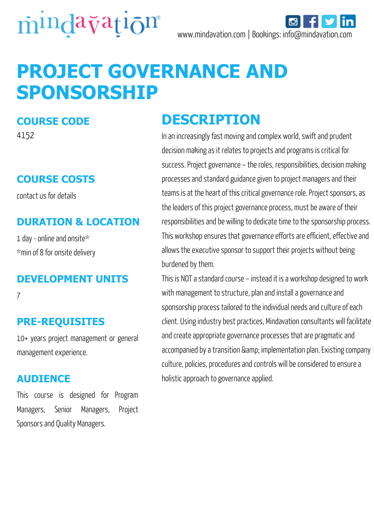

# **PROJECT GOVERNANCE AND SPONSORSHIP**

#### **COURSE CODE**

4152

## **COURSE COSTS**

contact us for details

### **DURATION & LOCATION**

1 day - online and onsite\* \*min of 8 for onsite delivery

#### **DEVELOPMENT UNITS**

7

### **PRE-REQUISITES**

10+ years project management or general management experience.

#### **AUDIENCE**

This course is designed for Program Managers, Senior Managers, Project Sponsors and Quality Managers.

# **DESCRIPTION**

In an increasingly fast moving and complex world, swift and prudent decision making as it relates to projects and programs is critical for success. Project governance – the roles, responsibilities, decision making processes and standard guidance given to project managers and their teams is at the heart of this critical governance role. Project sponsors, as the leaders of this project governance process, must be aware of their responsibilities and be willing to dedicate time to the sponsorship process. This workshop ensures that governance efforts are efficient, effective and allows the executive sponsor to support their projects without being burdened by them.

This is NOT a standard course – instead it is a workshop designed to work with management to structure, plan and install a governance and sponsorship process tailored to the individual needs and culture of each client. Using industry best practices, Mindavation consultants will facilitate and create appropriate governance processes that are pragmatic and accompanied by a transition & amp; implementation plan. Existing company culture, policies, procedures and controls will be considered to ensure a holistic approach to governance applied.